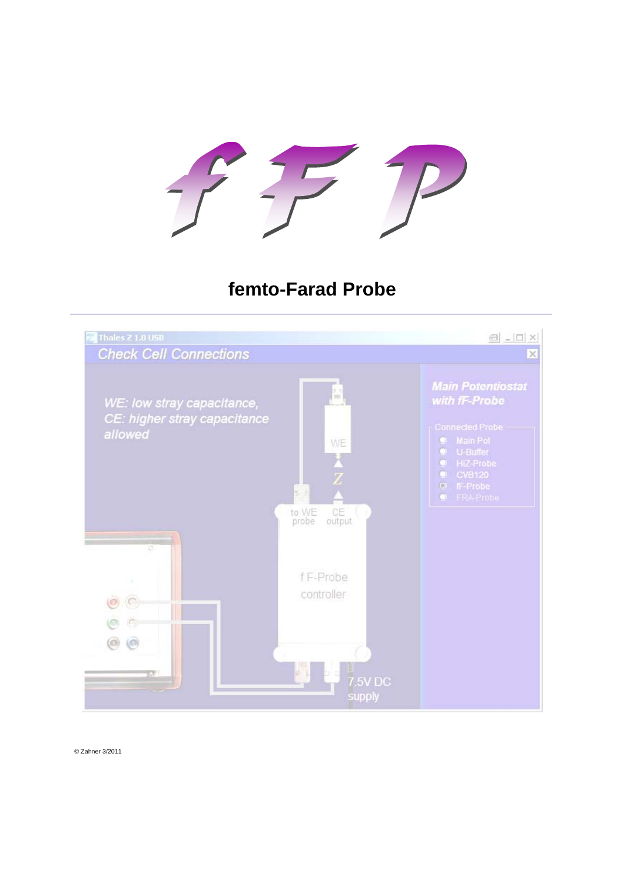

# **femto-Farad Probe**



© Zahner 3/2011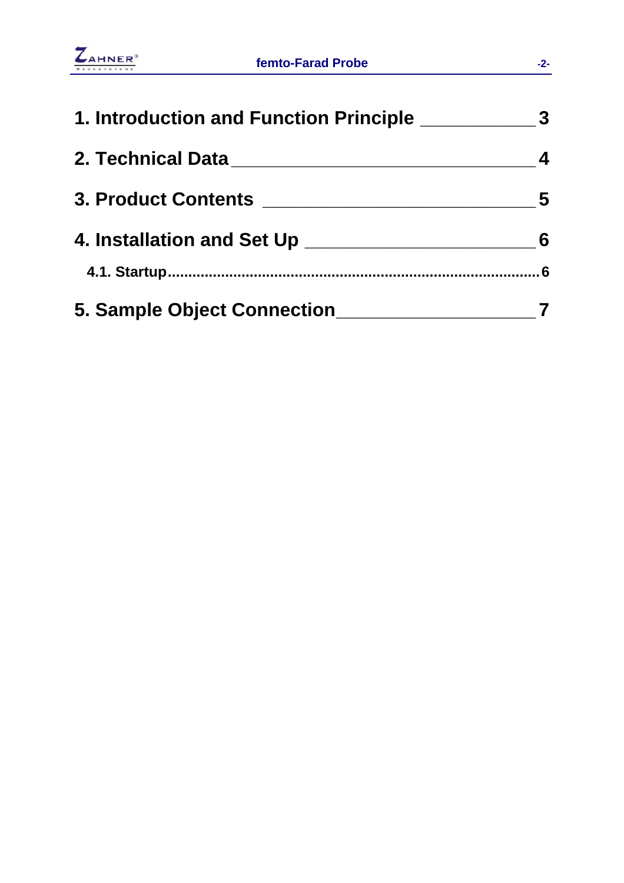

| 1. Introduction and Function Principle _________   | 3                       |
|----------------------------------------------------|-------------------------|
| 2. Technical Data <b>Annual Strategier Advisor</b> | $\overline{\mathbf{4}}$ |
|                                                    | -5                      |
| 4. Installation and Set Up ____                    | 6                       |
|                                                    | 6                       |
| 5. Sample Object Connection_                       |                         |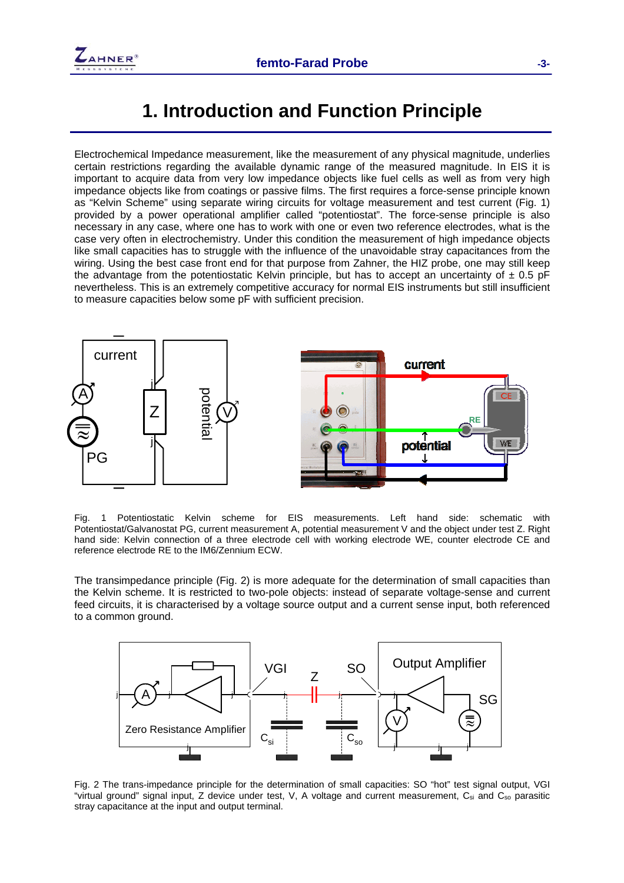

#### <span id="page-2-0"></span>**1. Introduction and Function Principle**

Electrochemical Impedance measurement, like the measurement of any physical magnitude, underlies certain restrictions regarding the available dynamic range of the measured magnitude. In EIS it is important to acquire data from very low impedance objects like fuel cells as well as from very high impedance objects like from coatings or passive films. The first requires a force-sense principle known as "Kelvin Scheme" using separate wiring circuits for voltage measurement and test current ([Fig. 1\)](#page-2-1) provided by a power operational amplifier called "potentiostat". The force-sense principle is also necessary in any case, where one has to work with one or even two reference electrodes, what is the case very often in electrochemistry. Under this condition the measurement of high impedance objects like small capacities has to struggle with the influence of the unavoidable stray capacitances from the wiring. Using the best case front end for that purpose from Zahner, the HIZ probe, one may still keep the advantage from the potentiostatic Kelvin principle, but has to accept an uncertainty of  $\pm$  0.5 pF nevertheless. This is an extremely competitive accuracy for normal EIS instruments but still insufficient to measure capacities below some pF with sufficient precision.



<span id="page-2-1"></span>Fig. 1 Potentiostatic Kelvin scheme for EIS measurements. Left hand side: schematic with Potentiostat/Galvanostat PG, current measurement A, potential measurement V and the object under test Z. Right hand side: Kelvin connection of a three electrode cell with working electrode WE, counter electrode CE and reference electrode RE to the IM6/Zennium ECW.

The transimpedance principle [\(Fig. 2\)](#page-2-2) is more adequate for the determination of small capacities than the Kelvin scheme. It is restricted to two-pole objects: instead of separate voltage-sense and current feed circuits, it is characterised by a voltage source output and a current sense input, both referenced to a common ground.



<span id="page-2-2"></span>Fig. 2 The trans-impedance principle for the determination of small capacities: SO "hot" test signal output, VGI "virtual ground" signal input,  $Z$  device under test, V, A voltage and current measurement,  $C_{si}$  and  $C_{so}$  parasitic stray capacitance at the input and output terminal.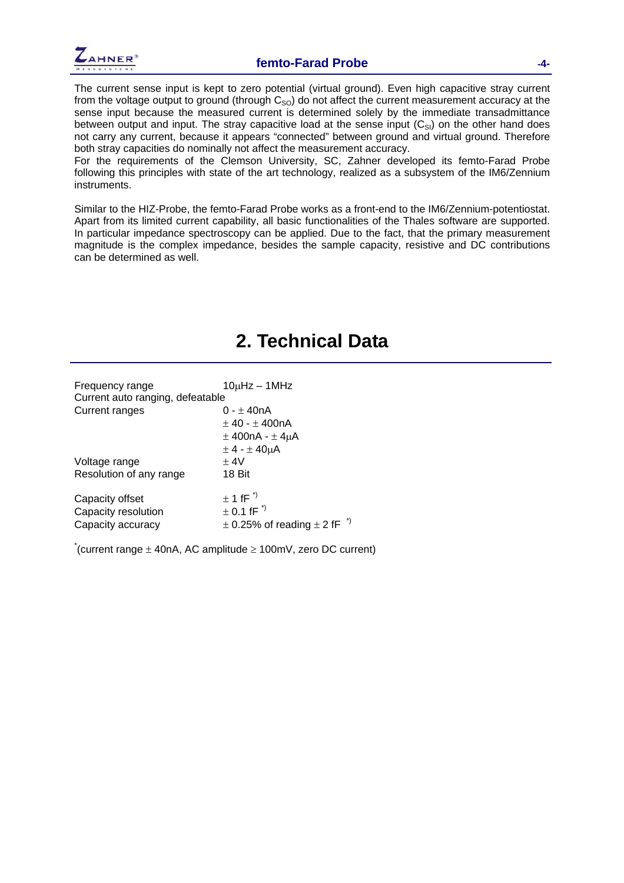

The current sense input is kept to zero potential (virtual ground). Even high capacitive stray current from the voltage output to ground (through  $C_{\text{SO}}$ ) do not affect the current measurement accuracy at the sense input because the measured current is determined solely by the immediate transadmittance between output and input. The stray capacitive load at the sense input  $(C_{\text{SI}})$  on the other hand does not carry any current, because it appears "connected" between ground and virtual ground. Therefore both stray capacities do nominally not affect the measurement accuracy.

For the requirements of the Clemson University, SC, Zahner developed its femto-Farad Probe following this principles with state of the art technology, realized as a subsystem of the IM6/Zennium instruments.

Similar to the HIZ-Probe, the femto-Farad Probe works as a front-end to the IM6/Zennium-potentiostat. Apart from its limited current capability, all basic functionalities of the Thales software are supported. In particular impedance spectroscopy can be applied. Due to the fact, that the primary measurement magnitude is the complex impedance, besides the sample capacity, resistive and DC contributions can be determined as well.

<span id="page-3-0"></span>

|                                                             | 2. Technical Data                                                                                                                                                             |
|-------------------------------------------------------------|-------------------------------------------------------------------------------------------------------------------------------------------------------------------------------|
| Frequency range<br>Current auto ranging, defeatable         | $10\mu$ Hz – 1MHz                                                                                                                                                             |
| Current ranges                                              | 0 - ± 40nA<br>$± 40 - ± 400nA$<br>$\pm$ 400nA - $\pm$ 4µA<br>$\pm$ 4 - $\pm$ 40 $\mu$ A                                                                                       |
| Voltage range<br>Resolution of any range                    | ± 4V<br>18 Bit                                                                                                                                                                |
| Capacity offset<br>Capacity resolution<br>Capacity accuracy | $\pm$ 1 fF <sup><math>\degree</math></sup><br>$\pm$ 0.1 fF <sup><math>\dot{\phantom{1}}</math></sup><br>$\pm$ 0.25% of reading $\pm$ 2 fF <sup><math>\rightarrow</math></sup> |

 $*($ current range  $\pm$  40nA, AC amplitude  $\geq$  100mV, zero DC current)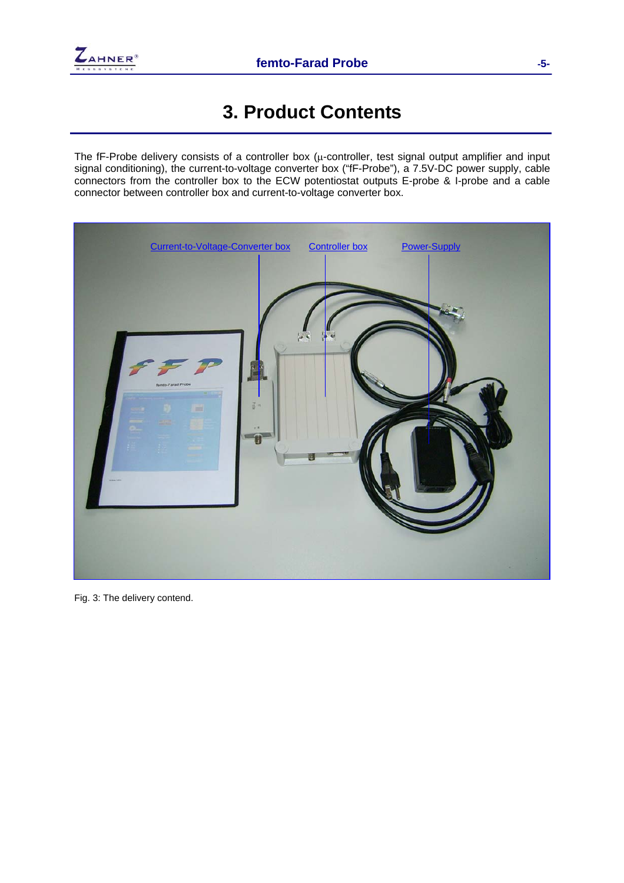

## <span id="page-4-0"></span>**3. Product Contents**

The fF-Probe delivery consists of a controller box  $(\mu$ -controller, test signal output amplifier and input signal conditioning), the current-to-voltage converter box ("fF-Probe"), a 7.5V-DC power supply, cable connectors from the controller box to the ECW potentiostat outputs E-probe & I-probe and a cable connector between controller box and current-to-voltage converter box.



Fig. 3: The delivery contend.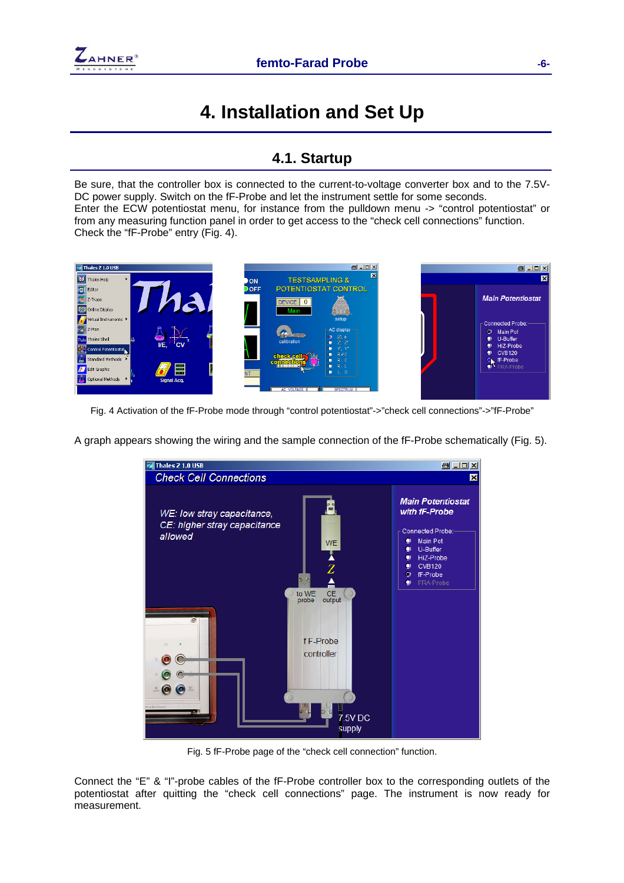## <span id="page-5-0"></span>**4. Installation and Set Up**

#### <span id="page-5-1"></span>**4.1. Startup**

Be sure, that the controller box is connected to the current-to-voltage converter box and to the 7.5V-DC power supply. Switch on the fF-Probe and let the instrument settle for some seconds. Enter the ECW potentiostat menu, for instance from the pulldown menu -> "control potentiostat" or from any measuring function panel in order to get access to the "check cell connections" function. Check the "fF-Probe" entry ([Fig. 4\)](#page-5-2).



Fig. 4 Activation of the fF-Probe mode through "control potentiostat"->"check cell connections"->"fF-Probe"

<span id="page-5-2"></span>A graph appears showing the wiring and the sample connection of the fF-Probe schematically (Fig. 5).



Fig. 5 fF-Probe page of the "check cell connection" function.

Connect the "E" & "I"-probe cables of the fF-Probe controller box to the corresponding outlets of the potentiostat after quitting the "check cell connections" page. The instrument is now ready for measurement.